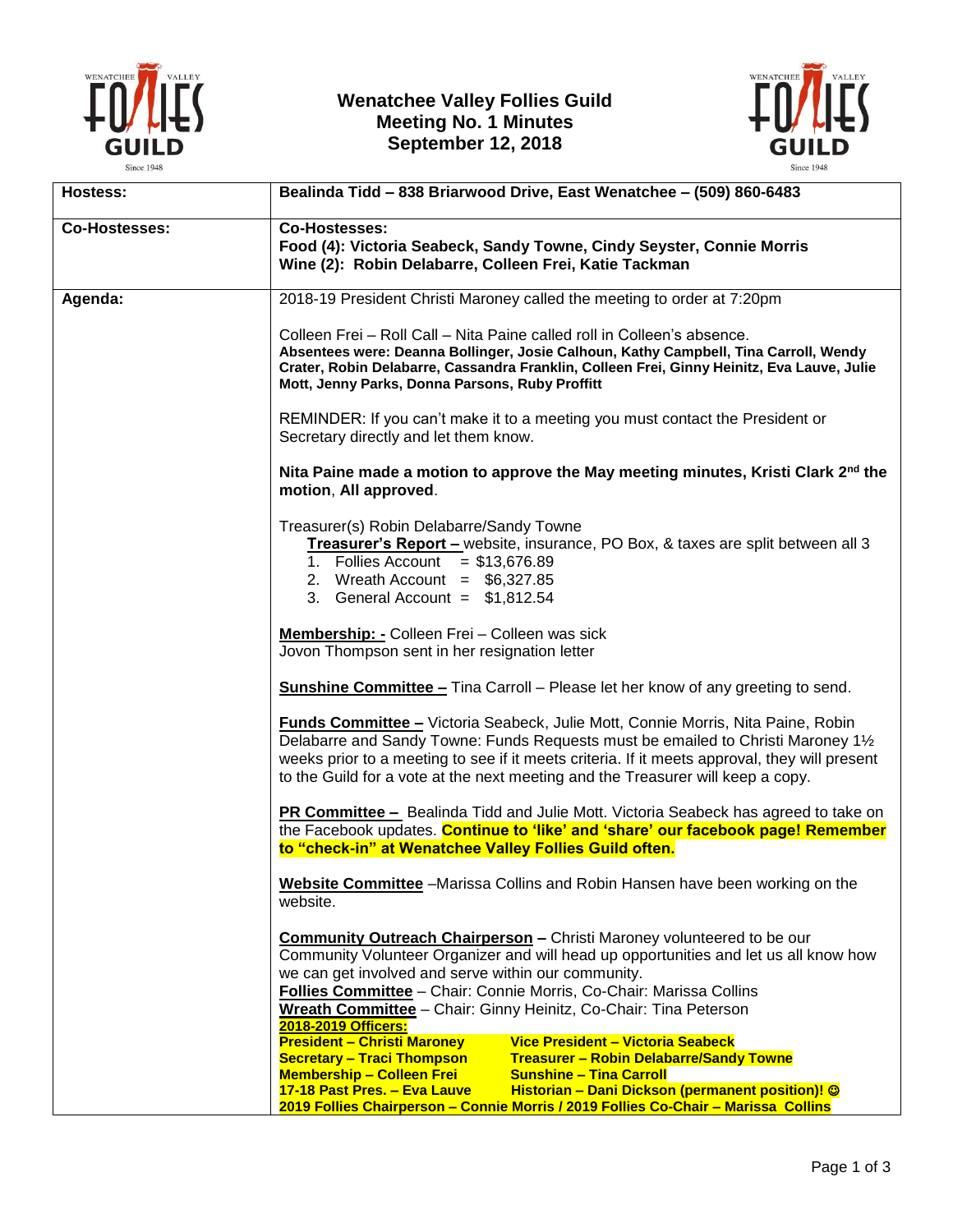

## **Wenatchee Valley Follies Guild Meeting No. 1 Minutes September 12, 2018**



| <b>Hostess:</b>      | Bealinda Tidd - 838 Briarwood Drive, East Wenatchee - (509) 860-6483                                                                                                                                                                                                                                                                                                    |
|----------------------|-------------------------------------------------------------------------------------------------------------------------------------------------------------------------------------------------------------------------------------------------------------------------------------------------------------------------------------------------------------------------|
| <b>Co-Hostesses:</b> | Co-Hostesses:<br>Food (4): Victoria Seabeck, Sandy Towne, Cindy Seyster, Connie Morris<br>Wine (2): Robin Delabarre, Colleen Frei, Katie Tackman                                                                                                                                                                                                                        |
| Agenda:              | 2018-19 President Christi Maroney called the meeting to order at 7:20pm                                                                                                                                                                                                                                                                                                 |
|                      | Colleen Frei - Roll Call - Nita Paine called roll in Colleen's absence.<br>Absentees were: Deanna Bollinger, Josie Calhoun, Kathy Campbell, Tina Carroll, Wendy<br>Crater, Robin Delabarre, Cassandra Franklin, Colleen Frei, Ginny Heinitz, Eva Lauve, Julie<br>Mott, Jenny Parks, Donna Parsons, Ruby Proffitt                                                        |
|                      | REMINDER: If you can't make it to a meeting you must contact the President or<br>Secretary directly and let them know.                                                                                                                                                                                                                                                  |
|                      | Nita Paine made a motion to approve the May meeting minutes, Kristi Clark $2nd$ the<br>motion, All approved.                                                                                                                                                                                                                                                            |
|                      | Treasurer(s) Robin Delabarre/Sandy Towne<br>Treasurer's Report - website, insurance, PO Box, & taxes are split between all 3<br>1. Follies Account = $$13,676.89$<br>2. Wreath Account = $$6,327.85$<br>3. General Account = $$1,812.54$                                                                                                                                |
|                      | Membership: - Colleen Frei - Colleen was sick<br>Jovon Thompson sent in her resignation letter                                                                                                                                                                                                                                                                          |
|                      | <b>Sunshine Committee - Tina Carroll - Please let her know of any greeting to send.</b>                                                                                                                                                                                                                                                                                 |
|                      | Funds Committee - Victoria Seabeck, Julie Mott, Connie Morris, Nita Paine, Robin<br>Delabarre and Sandy Towne: Funds Requests must be emailed to Christi Maroney 11/2<br>weeks prior to a meeting to see if it meets criteria. If it meets approval, they will present<br>to the Guild for a vote at the next meeting and the Treasurer will keep a copy.               |
|                      | <b>PR Committee -</b> Bealinda Tidd and Julie Mott. Victoria Seabeck has agreed to take on<br>the Facebook updates. Continue to 'like' and 'share' our facebook page! Remember<br>to "check-in" at Wenatchee Valley Follies Guild often.                                                                                                                                |
|                      | Website Committee -Marissa Collins and Robin Hansen have been working on the<br>website.                                                                                                                                                                                                                                                                                |
|                      | <b>Community Outreach Chairperson - Christi Maroney volunteered to be our</b><br>Community Volunteer Organizer and will head up opportunities and let us all know how<br>we can get involved and serve within our community.<br>Follies Committee - Chair: Connie Morris, Co-Chair: Marissa Collins<br>Wreath Committee - Chair: Ginny Heinitz, Co-Chair: Tina Peterson |
|                      | 2018-2019 Officers:<br><b>President - Christi Maroney</b><br>Vice President - Victoria Seabeck<br><b>Secretary - Traci Thompson</b><br>Treasurer - Robin Delabarre/Sandy Towne<br><b>Membership - Colleen Frei</b><br><b>Sunshine - Tina Carroll</b>                                                                                                                    |
|                      | Historian - Dani Dickson (permanent position)! ©<br>17-18 Past Pres. - Eva Lauve<br>2019 Follies Chairperson - Connie Morris / 2019 Follies Co-Chair - Marissa Collins                                                                                                                                                                                                  |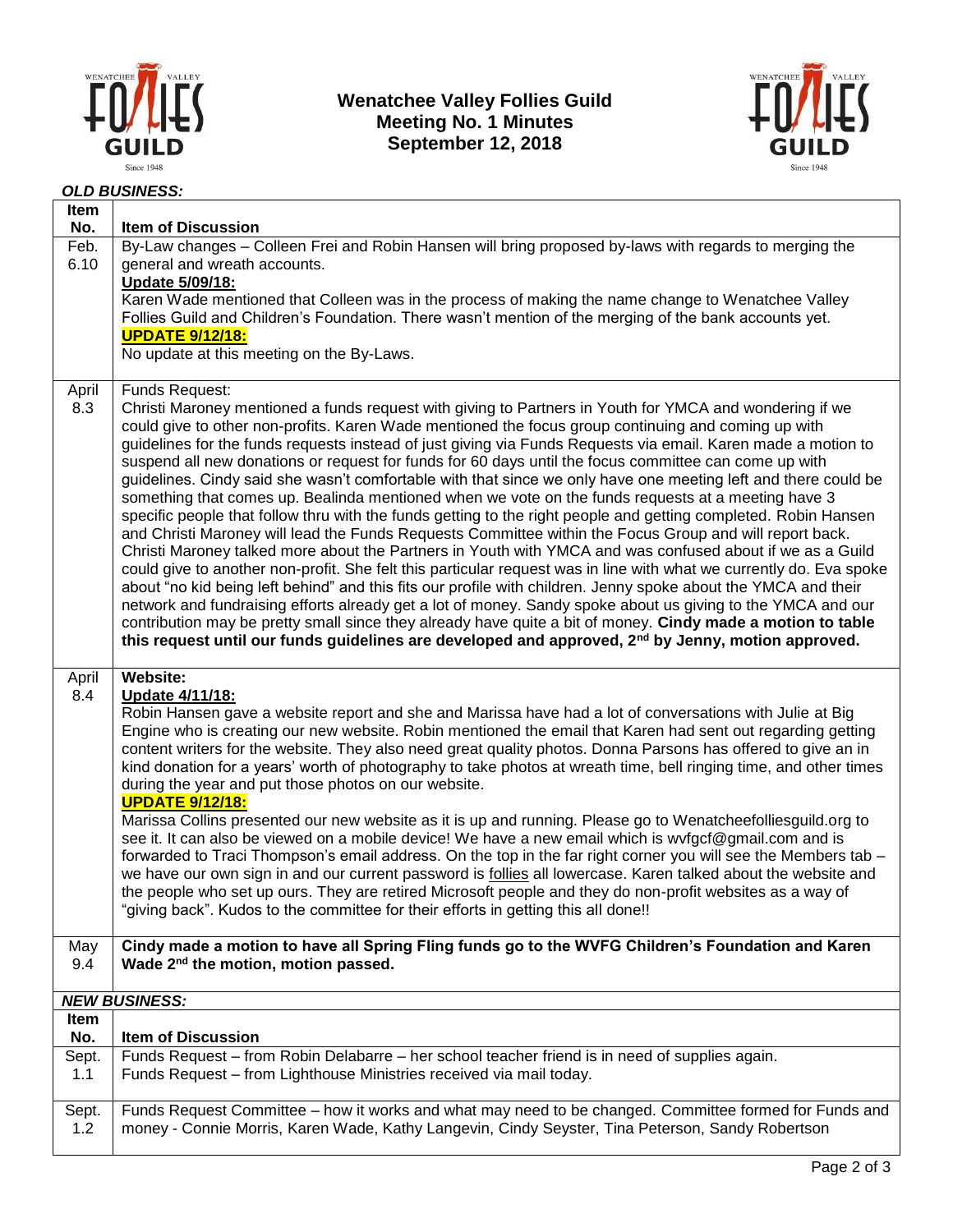

**Wenatchee Valley Follies Guild Meeting No. 1 Minutes September 12, 2018**



## *OLD BUSINESS:*

| Item<br>No.  | <b>Item of Discussion</b>                                                                                                                                                                                                                                                                                                                                                                                                                                                                                                                                                                                                                                                                                                                                                                                                                                                                                                                                                                                                                                                                                                                                                                                                                                                                                                                                                                                                                                                                                                                                                                                              |  |
|--------------|------------------------------------------------------------------------------------------------------------------------------------------------------------------------------------------------------------------------------------------------------------------------------------------------------------------------------------------------------------------------------------------------------------------------------------------------------------------------------------------------------------------------------------------------------------------------------------------------------------------------------------------------------------------------------------------------------------------------------------------------------------------------------------------------------------------------------------------------------------------------------------------------------------------------------------------------------------------------------------------------------------------------------------------------------------------------------------------------------------------------------------------------------------------------------------------------------------------------------------------------------------------------------------------------------------------------------------------------------------------------------------------------------------------------------------------------------------------------------------------------------------------------------------------------------------------------------------------------------------------------|--|
| Feb.<br>6.10 | By-Law changes - Colleen Frei and Robin Hansen will bring proposed by-laws with regards to merging the<br>general and wreath accounts.<br>Update 5/09/18:                                                                                                                                                                                                                                                                                                                                                                                                                                                                                                                                                                                                                                                                                                                                                                                                                                                                                                                                                                                                                                                                                                                                                                                                                                                                                                                                                                                                                                                              |  |
|              | Karen Wade mentioned that Colleen was in the process of making the name change to Wenatchee Valley<br>Follies Guild and Children's Foundation. There wasn't mention of the merging of the bank accounts yet.<br><b>UPDATE 9/12/18:</b>                                                                                                                                                                                                                                                                                                                                                                                                                                                                                                                                                                                                                                                                                                                                                                                                                                                                                                                                                                                                                                                                                                                                                                                                                                                                                                                                                                                 |  |
|              | No update at this meeting on the By-Laws.                                                                                                                                                                                                                                                                                                                                                                                                                                                                                                                                                                                                                                                                                                                                                                                                                                                                                                                                                                                                                                                                                                                                                                                                                                                                                                                                                                                                                                                                                                                                                                              |  |
| April<br>8.3 | Funds Request:<br>Christi Maroney mentioned a funds request with giving to Partners in Youth for YMCA and wondering if we<br>could give to other non-profits. Karen Wade mentioned the focus group continuing and coming up with<br>guidelines for the funds requests instead of just giving via Funds Requests via email. Karen made a motion to<br>suspend all new donations or request for funds for 60 days until the focus committee can come up with<br>guidelines. Cindy said she wasn't comfortable with that since we only have one meeting left and there could be<br>something that comes up. Bealinda mentioned when we vote on the funds requests at a meeting have 3<br>specific people that follow thru with the funds getting to the right people and getting completed. Robin Hansen<br>and Christi Maroney will lead the Funds Requests Committee within the Focus Group and will report back.<br>Christi Maroney talked more about the Partners in Youth with YMCA and was confused about if we as a Guild<br>could give to another non-profit. She felt this particular request was in line with what we currently do. Eva spoke<br>about "no kid being left behind" and this fits our profile with children. Jenny spoke about the YMCA and their<br>network and fundraising efforts already get a lot of money. Sandy spoke about us giving to the YMCA and our<br>contribution may be pretty small since they already have quite a bit of money. Cindy made a motion to table<br>this request until our funds guidelines are developed and approved, 2 <sup>nd</sup> by Jenny, motion approved. |  |
| April<br>8.4 | Website:<br>Update 4/11/18:<br>Robin Hansen gave a website report and she and Marissa have had a lot of conversations with Julie at Big<br>Engine who is creating our new website. Robin mentioned the email that Karen had sent out regarding getting<br>content writers for the website. They also need great quality photos. Donna Parsons has offered to give an in<br>kind donation for a years' worth of photography to take photos at wreath time, bell ringing time, and other times<br>during the year and put those photos on our website.<br><b>UPDATE 9/12/18:</b><br>Marissa Collins presented our new website as it is up and running. Please go to Wenatcheefolliesguild.org to<br>see it. It can also be viewed on a mobile device! We have a new email which is wvfgcf@gmail.com and is<br>forwarded to Traci Thompson's email address. On the top in the far right corner you will see the Members tab -<br>we have our own sign in and our current password is follies all lowercase. Karen talked about the website and<br>the people who set up ours. They are retired Microsoft people and they do non-profit websites as a way of<br>"giving back". Kudos to the committee for their efforts in getting this all done!!                                                                                                                                                                                                                                                                                                                                                                         |  |
| May<br>9.4   | Cindy made a motion to have all Spring Fling funds go to the WVFG Children's Foundation and Karen<br>Wade 2 <sup>nd</sup> the motion, motion passed.                                                                                                                                                                                                                                                                                                                                                                                                                                                                                                                                                                                                                                                                                                                                                                                                                                                                                                                                                                                                                                                                                                                                                                                                                                                                                                                                                                                                                                                                   |  |
|              |                                                                                                                                                                                                                                                                                                                                                                                                                                                                                                                                                                                                                                                                                                                                                                                                                                                                                                                                                                                                                                                                                                                                                                                                                                                                                                                                                                                                                                                                                                                                                                                                                        |  |
| Item         | <b>NEW BUSINESS:</b>                                                                                                                                                                                                                                                                                                                                                                                                                                                                                                                                                                                                                                                                                                                                                                                                                                                                                                                                                                                                                                                                                                                                                                                                                                                                                                                                                                                                                                                                                                                                                                                                   |  |
| No.<br>Sept. | <b>Item of Discussion</b><br>Funds Request – from Robin Delabarre – her school teacher friend is in need of supplies again.                                                                                                                                                                                                                                                                                                                                                                                                                                                                                                                                                                                                                                                                                                                                                                                                                                                                                                                                                                                                                                                                                                                                                                                                                                                                                                                                                                                                                                                                                            |  |
| 1.1          | Funds Request - from Lighthouse Ministries received via mail today.                                                                                                                                                                                                                                                                                                                                                                                                                                                                                                                                                                                                                                                                                                                                                                                                                                                                                                                                                                                                                                                                                                                                                                                                                                                                                                                                                                                                                                                                                                                                                    |  |
| Sept.<br>1.2 | Funds Request Committee – how it works and what may need to be changed. Committee formed for Funds and<br>money - Connie Morris, Karen Wade, Kathy Langevin, Cindy Seyster, Tina Peterson, Sandy Robertson                                                                                                                                                                                                                                                                                                                                                                                                                                                                                                                                                                                                                                                                                                                                                                                                                                                                                                                                                                                                                                                                                                                                                                                                                                                                                                                                                                                                             |  |